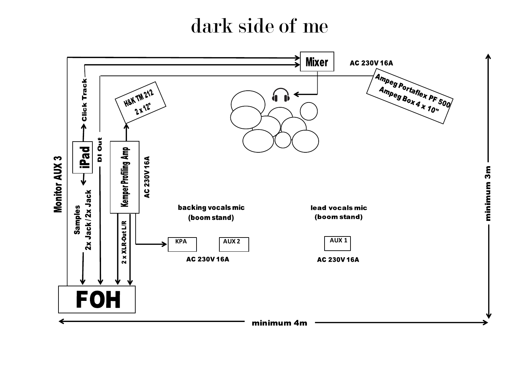## dark side of me